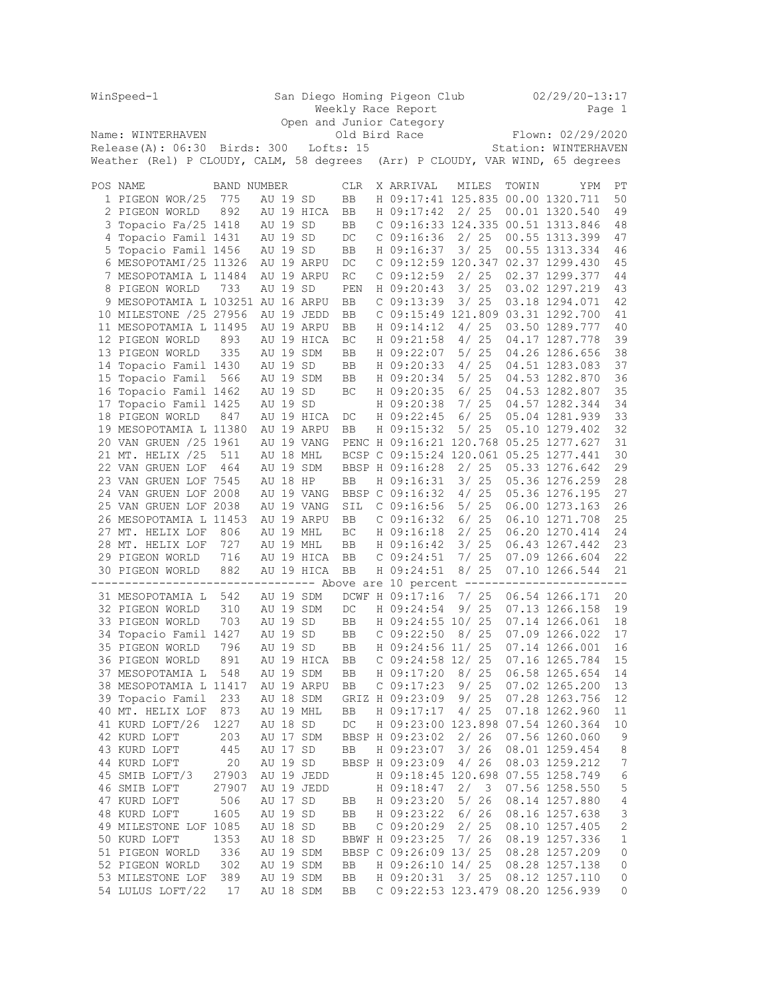|   | WinSpeed-1                                     | San Diego Homing Pigeon Club |          |                        |            |  |                               |  | $02/29/20 - 13:17$ |                   |                                                                                  |                |  |  |
|---|------------------------------------------------|------------------------------|----------|------------------------|------------|--|-------------------------------|--|--------------------|-------------------|----------------------------------------------------------------------------------|----------------|--|--|
|   |                                                |                              |          |                        |            |  | Weekly Race Report            |  |                    |                   |                                                                                  | Page 1         |  |  |
|   |                                                |                              |          |                        |            |  | Open and Junior Category      |  |                    |                   |                                                                                  |                |  |  |
|   | Name: WINTERHAVEN                              |                              |          |                        |            |  | Old Bird Race                 |  |                    | Flown: 02/29/2020 |                                                                                  |                |  |  |
|   | Release(A): 06:30 Birds: 300                   |                              |          | Lofts: 15              |            |  |                               |  |                    |                   | Station: WINTERHAVEN                                                             |                |  |  |
|   | Weather (Rel) P CLOUDY, CALM, 58 degrees       |                              |          |                        |            |  |                               |  |                    |                   | (Arr) P CLOUDY, VAR WIND, 65 degrees                                             |                |  |  |
|   | POS NAME                                       | <b>BAND NUMBER</b>           |          |                        | <b>CLR</b> |  | X ARRIVAL                     |  | MILES              | TOWIN             | YPM                                                                              | РT             |  |  |
|   | 1 PIGEON WOR/25                                | 775                          | AU 19 SD |                        | BB         |  |                               |  |                    |                   | H 09:17:41 125.835 00.00 1320.711                                                | 50             |  |  |
|   | 2 PIGEON WORLD                                 | 892                          |          | AU 19 HICA             | BB         |  | H 09:17:42                    |  | 2/25               |                   | 00.01 1320.540                                                                   | 49             |  |  |
|   | 3 Topacio Fa/25 1418                           |                              | AU 19 SD |                        | BB         |  |                               |  |                    |                   | C 09:16:33 124.335 00.51 1313.846                                                | 48             |  |  |
|   | 4 Topacio Famil 1431                           |                              | AU 19 SD |                        | DC         |  | $C$ 09:16:36                  |  | 2/25               |                   | 00.55 1313.399                                                                   | 47             |  |  |
| 5 | Topacio Famil 1456                             |                              | AU 19 SD |                        | BB         |  | H 09:16:37                    |  | 3/25               |                   | 00.55 1313.334                                                                   | 46             |  |  |
|   | 6 MESOPOTAMI/25 11326                          |                              |          | AU 19 ARPU             | DC         |  |                               |  |                    |                   | C 09:12:59 120.347 02.37 1299.430                                                | 45             |  |  |
|   | 7 MESOPOTAMIA L 11484                          |                              |          | AU 19 ARPU             | RC         |  | $C$ 09:12:59                  |  | 2/25               |                   | 02.37 1299.377                                                                   | 44             |  |  |
|   | 8 PIGEON WORLD                                 | 733                          | AU 19 SD |                        | PEN        |  | H 09:20:43                    |  | 3/25               |                   | 03.02 1297.219                                                                   | 43             |  |  |
|   | 9 MESOPOTAMIA L 103251 AU 16 ARPU              |                              |          |                        | BB         |  | $C$ 09:13:39                  |  | 3/25               |                   | 03.18 1294.071                                                                   | 42             |  |  |
|   | 10 MILESTONE /25 27956                         |                              |          | AU 19 JEDD             | BB         |  |                               |  |                    |                   | C 09:15:49 121.809 03.31 1292.700                                                | 41             |  |  |
|   | 11 MESOPOTAMIA L 11495                         |                              |          | AU 19 ARPU             | BB         |  | H 09:14:12                    |  | 4/25               |                   | 03.50 1289.777                                                                   | 40             |  |  |
|   | 12 PIGEON WORLD                                | 893                          |          | AU 19 HICA             | BC         |  | H 09:21:58                    |  | 4/25               |                   | 04.17 1287.778                                                                   | 39             |  |  |
|   | 13 PIGEON WORLD                                | 335                          |          | AU 19 SDM              | BB         |  | H 09:22:07                    |  | 5/25               |                   | 04.26 1286.656                                                                   | 38             |  |  |
|   | 14 Topacio Famil 1430                          |                              | AU 19 SD |                        | BB         |  | H 09:20:33                    |  | 4/25               |                   | 04.51 1283.083                                                                   | 37             |  |  |
|   | 15 Topacio Famil                               | 566                          |          | AU 19 SDM              | BB         |  | H 09:20:34                    |  | 5/25               |                   | 04.53 1282.870                                                                   | 36             |  |  |
|   | 16 Topacio Famil 1462                          |                              | AU 19 SD |                        | ВC         |  | H 09:20:35                    |  | $6/25$             |                   | 04.53 1282.807                                                                   | 35             |  |  |
|   | 17 Topacio Famil 1425                          |                              | AU 19 SD |                        |            |  | H 09:20:38                    |  | 7/25               |                   | 04.57 1282.344                                                                   | 34             |  |  |
|   | 18 PIGEON WORLD                                | 847                          |          | AU 19 HICA             | DC         |  | H 09:22:45                    |  | 6/25               |                   | 05.04 1281.939                                                                   | 33             |  |  |
|   | 19 MESOPOTAMIA L 11380                         |                              |          | AU 19 ARPU             | BB         |  | H 09:15:32                    |  | 5/25               |                   | 05.10 1279.402                                                                   | 32             |  |  |
|   | 20 VAN GRUEN /25 1961                          |                              |          | AU 19 VANG             |            |  |                               |  |                    |                   | PENC H 09:16:21 120.768 05.25 1277.627<br>BCSP C 09:15:24 120.061 05.25 1277.441 | 31             |  |  |
|   | 21 MT. HELIX /25                               | 511                          |          | AU 18 MHL              |            |  |                               |  |                    |                   |                                                                                  | 30             |  |  |
|   | 22 VAN GRUEN LOF                               | 464                          | AU 18 HP | AU 19 SDM              |            |  | BBSP H 09:16:28               |  | 2/25<br>3/25       |                   | 05.33 1276.642<br>05.36 1276.259                                                 | 29<br>28       |  |  |
|   | 23 VAN GRUEN LOF 7545<br>24 VAN GRUEN LOF 2008 |                              |          | AU 19 VANG             | BB         |  | H 09:16:31<br>BBSP C 09:16:32 |  | 4/25               |                   | 05.36 1276.195                                                                   | 27             |  |  |
|   | 25 VAN GRUEN LOF 2038                          |                              |          | AU 19 VANG             | SIL        |  | $C$ 09:16:56                  |  | 5/25               |                   | 06.00 1273.163                                                                   | 26             |  |  |
|   | 26 MESOPOTAMIA L 11453                         |                              |          | AU 19 ARPU             | BB         |  | $C$ 09:16:32                  |  | 6/25               |                   | 06.10 1271.708                                                                   | 25             |  |  |
|   | 27 MT. HELIX LOF                               | 806                          |          | AU 19 MHL              | BC         |  | H 09:16:18                    |  | 2/25               |                   | 06.20 1270.414                                                                   | 24             |  |  |
|   | 28 MT. HELIX LOF                               | 727                          |          | AU 19 MHL              | BB         |  | H 09:16:42                    |  | 3/25               |                   | 06.43 1267.442                                                                   | 23             |  |  |
|   | 29 PIGEON WORLD                                | 716                          |          | AU 19 HICA             | BB         |  | C 09:24:51                    |  | 7/25               |                   | 07.09 1266.604                                                                   | 22             |  |  |
|   | 30 PIGEON WORLD                                | 882                          |          | AU 19 HICA             | BB         |  | H 09:24:51                    |  | 8/25               |                   | 07.10 1266.544                                                                   | 21             |  |  |
|   | ----------------------------                   |                              |          |                        |            |  |                               |  |                    |                   | ------ Above are 10 percent ------------------------                             |                |  |  |
|   | 31 MESOPOTAMIA L                               | 542                          |          | AU 19 SDM              |            |  | DCWF H 09:17:16               |  | 7/25               |                   | 06.54 1266.171                                                                   | 20             |  |  |
|   | 32 PIGEON WORLD                                | 310                          |          | AU 19 SDM              | DC         |  | H 09:24:54                    |  | 9/25               |                   | 07.13 1266.158                                                                   | 19             |  |  |
|   | 33 PIGEON WORLD                                | 703                          | AU 19 SD |                        | BB         |  | H 09:24:55 10/ 25             |  |                    |                   | 07.14 1266.061                                                                   | 18             |  |  |
|   | 34 Topacio Famil 1427                          |                              | AU 19 SD |                        | BB         |  | $C$ 09:22:50                  |  | 8/25               |                   | 07.09 1266.022                                                                   | 17             |  |  |
|   | 35 PIGEON WORLD                                | 796                          | AU 19 SD |                        | <b>BB</b>  |  | H 09:24:56 11/ 25             |  |                    |                   | 07.14 1266.001                                                                   | 16             |  |  |
|   | 36 PIGEON WORLD                                | 891                          |          | AU 19 HICA             | BB         |  | $C$ 09:24:58 12/ 25           |  |                    |                   | 07.16 1265.784                                                                   | 15             |  |  |
|   | 37 MESOPOTAMIA L                               | 548                          |          | AU 19 SDM              | BB         |  | H 09:17:20                    |  | 8/ 25              |                   | 06.58 1265.654                                                                   | 14             |  |  |
|   | 38 MESOPOTAMIA L 11417                         |                              |          | AU 19 ARPU             | BB         |  | C 09:17:23                    |  | 9/25               |                   | 07.02 1265.200                                                                   | 13             |  |  |
|   | 39 Topacio Famil                               | 233                          |          | AU 18 SDM<br>AU 19 MHL |            |  | GRIZ H 09:23:09               |  | 9/25               |                   | 07.28 1263.756<br>07.18 1262.960                                                 | 12             |  |  |
|   | 40 MT. HELIX LOF                               | 873<br>1227                  |          |                        | BB         |  | H 09:17:17                    |  | 4/25               |                   | H 09:23:00 123.898 07.54 1260.364                                                | 11             |  |  |
|   | 41 KURD LOFT/26<br>42 KURD LOFT                | 203                          | AU 18 SD | AU 17 SDM              | DC         |  | BBSP H 09:23:02               |  | 2/26               |                   | 07.56 1260.060                                                                   | 10<br>9        |  |  |
|   | 43 KURD LOFT                                   | 445                          | AU 17 SD |                        | BB         |  | H 09:23:07                    |  | 3/26               |                   | 08.01 1259.454                                                                   | 8              |  |  |
|   | 44 KURD LOFT                                   | 20                           | AU 19 SD |                        |            |  | BBSP H 09:23:09               |  | 4/26               |                   | 08.03 1259.212                                                                   | 7              |  |  |
|   | 45 SMIB LOFT/3                                 | 27903                        |          | AU 19 JEDD             |            |  |                               |  |                    |                   | H 09:18:45 120.698 07.55 1258.749                                                | 6              |  |  |
|   | 46 SMIB LOFT                                   | 27907                        |          | AU 19 JEDD             |            |  | H 09:18:47                    |  | 2/<br>3            |                   | 07.56 1258.550                                                                   | 5              |  |  |
|   | 47 KURD LOFT                                   | 506                          | AU 17 SD |                        | BB         |  | H 09:23:20                    |  | 5/26               |                   | 08.14 1257.880                                                                   | $\overline{4}$ |  |  |
|   | 48 KURD LOFT                                   | 1605                         | AU 19 SD |                        | BB         |  | H 09:23:22                    |  | 6/26               |                   | 08.16 1257.638                                                                   | 3              |  |  |
|   | 49 MILESTONE LOF 1085                          |                              | AU 18 SD |                        | BB         |  | C 09:20:29                    |  | 2/25               |                   | 08.10 1257.405                                                                   | $\mathbf{2}$   |  |  |
|   | 50 KURD LOFT                                   | 1353                         | AU 18 SD |                        |            |  | BBWF H 09:23:25               |  | 7/26               |                   | 08.19 1257.336                                                                   | $1\,$          |  |  |
|   | 51 PIGEON WORLD                                | 336                          |          | AU 19 SDM              |            |  | BBSP C 09:26:09 13/ 25        |  |                    |                   | 08.28 1257.209                                                                   | 0              |  |  |
|   | 52 PIGEON WORLD                                | 302                          |          | AU 19 SDM              | BB         |  | H 09:26:10 14/ 25             |  |                    |                   | 08.28 1257.138                                                                   | 0              |  |  |
|   | 53 MILESTONE LOF                               | 389                          |          | AU 19 SDM              | BB         |  | H 09:20:31                    |  | 3/25               |                   | 08.12 1257.110                                                                   | 0              |  |  |
|   | 54 LULUS LOFT/22                               | 17                           |          | AU 18 SDM              | BB         |  |                               |  |                    |                   | C 09:22:53 123.479 08.20 1256.939                                                | 0              |  |  |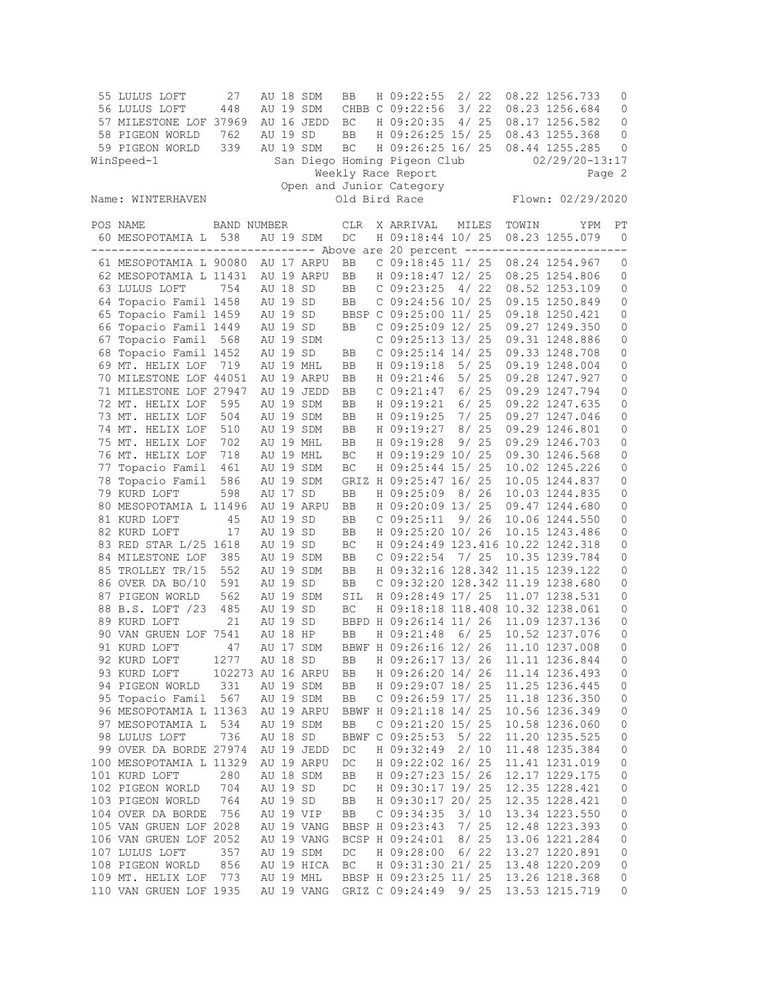| 55 LULUS LOFT                                                                 | 27                 |          | AU 18 SDM  | BB                  | H 09:22:55                        |       | 2/22 |       | 08.22 1256.733     | 0              |
|-------------------------------------------------------------------------------|--------------------|----------|------------|---------------------|-----------------------------------|-------|------|-------|--------------------|----------------|
| 56 LULUS LOFT                                                                 | 448                |          | AU 19 SDM  |                     | CHBB C 09:22:56                   |       | 3/22 |       | 08.23 1256.684     | 0              |
| 57 MILESTONE LOF 37969                                                        |                    |          | AU 16 JEDD | BC                  | H 09:20:35                        |       | 4/25 |       | 08.17 1256.582     | $\mathbf 0$    |
| 58 PIGEON WORLD                                                               | 762                | AU 19 SD |            | BB                  | H 09:26:25 15/ 25                 |       |      |       | 08.43 1255.368     | 0              |
| 59 PIGEON WORLD                                                               | 339                |          | AU 19 SDM  | BC                  | H 09:26:25 16/ 25                 |       |      |       | 08.44 1255.285     | $\mathbf 0$    |
| WinSpeed-1                                                                    |                    |          |            |                     | San Diego Homing Pigeon Club      |       |      |       | $02/29/20 - 13:17$ |                |
|                                                                               |                    |          |            |                     | Weekly Race Report                |       |      |       |                    | Page 2         |
|                                                                               |                    |          |            |                     | Open and Junior Category          |       |      |       |                    |                |
| Name: WINTERHAVEN                                                             |                    |          |            |                     | Old Bird Race                     |       |      |       | Flown: 02/29/2020  |                |
| POS NAME                                                                      | <b>BAND NUMBER</b> |          |            | CLR                 | X ARRIVAL                         | MILES |      | TOWIN | YPM                | РT             |
| 60 MESOPOTAMIA L 538                                                          |                    |          | AU 19 SDM  | DC                  | H 09:18:44 10/ 25                 |       |      |       | 08.23 1255.079     | $\overline{0}$ |
| ------------------------------- Above are 20 percent ------------------------ |                    |          |            |                     |                                   |       |      |       |                    |                |
| 61 MESOPOTAMIA L 90080                                                        |                    |          | AU 17 ARPU | BB                  | $C$ 09:18:45 11/ 25               |       |      |       | 08.24 1254.967     | 0              |
| 62 MESOPOTAMIA L 11431                                                        |                    |          | AU 19 ARPU | BB                  | H 09:18:47 12/ 25                 |       |      |       | 08.25 1254.806     | 0              |
| 63 LULUS LOFT                                                                 | 754                | AU 18 SD |            | BB                  | $C$ 09:23:25                      |       | 4/22 |       | 08.52 1253.109     | $\mathbf 0$    |
| 64 Topacio Famil 1458                                                         |                    | AU 19 SD |            | BB                  | C 09:24:56 10/ 25                 |       |      |       | 09.15 1250.849     | $\mathbb O$    |
| 65 Topacio Famil 1459                                                         |                    | AU 19 SD |            |                     | BBSP C 09:25:00 11/ 25            |       |      |       | 09.18 1250.421     | 0              |
| 66 Topacio Famil 1449                                                         |                    | AU 19 SD |            | BB                  | C 09:25:09 12/ 25                 |       |      |       | 09.27 1249.350     | 0              |
| 67 Topacio Famil                                                              | 568                |          | AU 19 SDM  |                     | C 09:25:13 13/ 25                 |       |      |       | 09.31 1248.886     | $\mathbb O$    |
| 68 Topacio Famil 1452                                                         |                    | AU 19 SD |            | BB                  | C 09:25:14 14/ 25                 |       |      |       | 09.33 1248.708     | 0              |
| 69 MT. HELIX LOF                                                              | 719                |          | AU 19 MHL  | BB                  | H 09:19:18                        |       | 5/25 |       | 09.19 1248.004     | 0              |
| 70 MILESTONE LOF 44051                                                        |                    |          | AU 19 ARPU | BB                  | H 09:21:46                        |       | 5/25 |       | 09.28 1247.927     | $\mathbf 0$    |
| 71 MILESTONE LOF 27947                                                        |                    |          | AU 19 JEDD | BB                  | C 09:21:47                        |       | 6/25 |       | 09.29 1247.794     | 0              |
| 72 MT. HELIX LOF                                                              | 595                |          | AU 19 SDM  | BB                  | H 09:19:21                        |       | 6/25 |       | 09.22 1247.635     | 0              |
| 73 MT. HELIX LOF                                                              | 504                |          | AU 19 SDM  | BB                  | H 09:19:25                        |       | 7/25 |       | 09.27 1247.046     | $\mathbf 0$    |
| 74 MT. HELIX LOF                                                              | 510                |          | AU 19 SDM  | BB                  | H 09:19:27                        |       | 8/25 |       | 09.29 1246.801     | 0              |
| 75 MT. HELIX LOF                                                              | 702                |          | AU 19 MHL  | BB                  | H 09:19:28                        |       | 9/25 |       | 09.29 1246.703     | 0              |
| 76 MT. HELIX LOF                                                              | 718                |          | AU 19 MHL  | BC                  | H 09:19:29 10/ 25                 |       |      |       | 09.30 1246.568     | 0              |
| 77 Topacio Famil                                                              | 461                |          | AU 19 SDM  | BC                  | H 09:25:44 15/ 25                 |       |      |       | 10.02 1245.226     | 0              |
| 78 Topacio Famil                                                              | 586                |          | AU 19 SDM  |                     | GRIZ H 09:25:47 16/ 25            |       |      |       | 10.05 1244.837     | 0              |
| 79 KURD LOFT                                                                  | 598                | AU 17 SD |            | BB                  | H 09:25:09                        |       | 8/26 |       | 10.03 1244.835     | 0              |
| 80 MESOPOTAMIA L 11496                                                        |                    |          | AU 19 ARPU | BB                  | H 09:20:09 13/ 25                 |       |      |       | 09.47 1244.680     | 0              |
| 81 KURD LOFT                                                                  | 45                 | AU 19 SD |            | BB                  | C 09:25:11                        |       | 9/26 |       | 10.06 1244.550     | 0              |
| 82 KURD LOFT                                                                  | 17                 | AU 19 SD |            | BB                  | H 09:25:20 10/ 26                 |       |      |       | 10.15 1243.486     | 0              |
| 83 RED STAR L/25 1618                                                         |                    | AU 19 SD |            | BC                  | H 09:24:49 123.416 10.22 1242.318 |       |      |       |                    | $\mathbf 0$    |
| 84 MILESTONE LOF                                                              | 385                |          | AU 19 SDM  | BB                  | $C$ 09:22:54                      | 7/25  |      |       | 10.35 1239.784     | 0              |
| 85 TROLLEY TR/15                                                              | 552                |          | AU 19 SDM  | BB                  | H 09:32:16 128.342 11.15 1239.122 |       |      |       |                    | 0              |
| 86 OVER DA BO/10                                                              | 591                | AU 19 SD |            | BB                  | C 09:32:20 128.342 11.19 1238.680 |       |      |       |                    | 0              |
| 87 PIGEON WORLD                                                               | 562                |          | AU 19 SDM  | SIL                 | H 09:28:49 17/ 25                 |       |      |       | 11.07 1238.531     | 0              |
| 88 B.S. LOFT /23                                                              | 485                | AU 19 SD |            | BC                  | H 09:18:18 118.408 10.32 1238.061 |       |      |       |                    | $\mathbb O$    |
| 89 KURD LOFT                                                                  | 21                 | AU 19 SD |            |                     | BBPD H 09:26:14 11/ 26            |       |      |       | 11.09 1237.136     | 0              |
| 90 VAN GRUEN LOF 7541                                                         |                    | AU 18 HP |            | BB                  | H 09:21:48                        |       | 6/25 |       | 10.52 1237.076     | $\mathbf{0}$   |
| 91 KURD LOFT                                                                  | 47                 |          | AU 17 SDM  |                     | BBWF H 09:26:16 12/ 26            |       |      |       | 11.10 1237.008     | 0              |
| 92 KURD LOFT                                                                  | 1277               | AU 18 SD |            | BB                  | H 09:26:17 13/ 26                 |       |      |       | 11.11 1236.844     | 0              |
| 93 KURD LOFT                                                                  | 102273 AU 16 ARPU  |          |            | BB                  | H 09:26:20 14/ 26                 |       |      |       | 11.14 1236.493     | 0              |
| 94 PIGEON WORLD                                                               | 331                |          | AU 19 SDM  | BB                  | H 09:29:07 18/ 25                 |       |      |       | 11.25 1236.445     | 0              |
| 95 Topacio Famil                                                              | 567                |          | AU 19 SDM  | BB                  | $C$ 09:26:59 17/ 25               |       |      |       | 11.18 1236.350     | 0              |
| 96 MESOPOTAMIA L 11363                                                        |                    |          | AU 19 ARPU |                     | BBWF H 09:21:18 14/ 25            |       |      |       | 10.56 1236.349     | 0              |
| 97 MESOPOTAMIA L                                                              | 534                |          | AU 19 SDM  | BB                  | C 09:21:20 15/ 25                 |       |      |       | 10.58 1236.060     | $\mathbb O$    |
| 98 LULUS LOFT                                                                 | 736                | AU 18 SD |            |                     | BBWF C 09:25:53                   |       | 5/22 |       | 11.20 1235.525     | $\mathbb O$    |
| 99 OVER DA BORDE 27974                                                        |                    |          | AU 19 JEDD | DC                  | H 09:32:49                        |       | 2/10 |       | 11.48 1235.384     | 0              |
| 100 MESOPOTAMIA L 11329                                                       |                    |          | AU 19 ARPU | DC                  | H 09:22:02 16/ 25                 |       |      |       | 11.41 1231.019     | 0              |
| 101 KURD LOFT                                                                 | 280                |          | AU 18 SDM  | BB                  | H 09:27:23 15/ 26                 |       |      |       | 12.17 1229.175     | $\mathbb O$    |
| 102 PIGEON WORLD                                                              | 704                | AU 19 SD |            | DC                  | H 09:30:17 19/ 25                 |       |      |       | 12.35 1228.421     | 0              |
| 103 PIGEON WORLD                                                              | 764                | AU 19 SD |            | BB                  | H 09:30:17 20/ 25                 |       |      |       | 12.35 1228.421     | $\mathbb O$    |
| 104 OVER DA BORDE                                                             | 756                |          | AU 19 VIP  | BB                  | C 09:34:35                        |       | 3/10 |       | 13.34 1223.550     | 0              |
| 105 VAN GRUEN LOF 2028                                                        |                    |          | AU 19 VANG |                     | BBSP H 09:23:43                   |       | 7/25 |       | 12.48 1223.393     | $\mathbb O$    |
| 106 VAN GRUEN LOF 2052                                                        |                    |          | AU 19 VANG |                     | BCSP H 09:24:01                   |       | 8/25 |       | 13.06 1221.284     | 0              |
| 107 LULUS LOFT                                                                | 357                |          | AU 19 SDM  | DC                  | H 09:28:00                        |       | 6/22 |       | 13.27 1220.891     | 0              |
| 108 PIGEON WORLD                                                              | 856                |          | AU 19 HICA | $\operatorname{BC}$ | H 09:31:30 21/ 25                 |       |      |       | 13.48 1220.209     | $\mathbb O$    |
| 109 MT. HELIX LOF                                                             | 773                |          | AU 19 MHL  |                     | BBSP H 09:23:25 11/ 25            |       |      |       | 13.26 1218.368     | 0              |
| 110 VAN GRUEN LOF 1935                                                        |                    |          | AU 19 VANG |                     | GRIZ C 09:24:49                   |       | 9/25 |       | 13.53 1215.719     | 0              |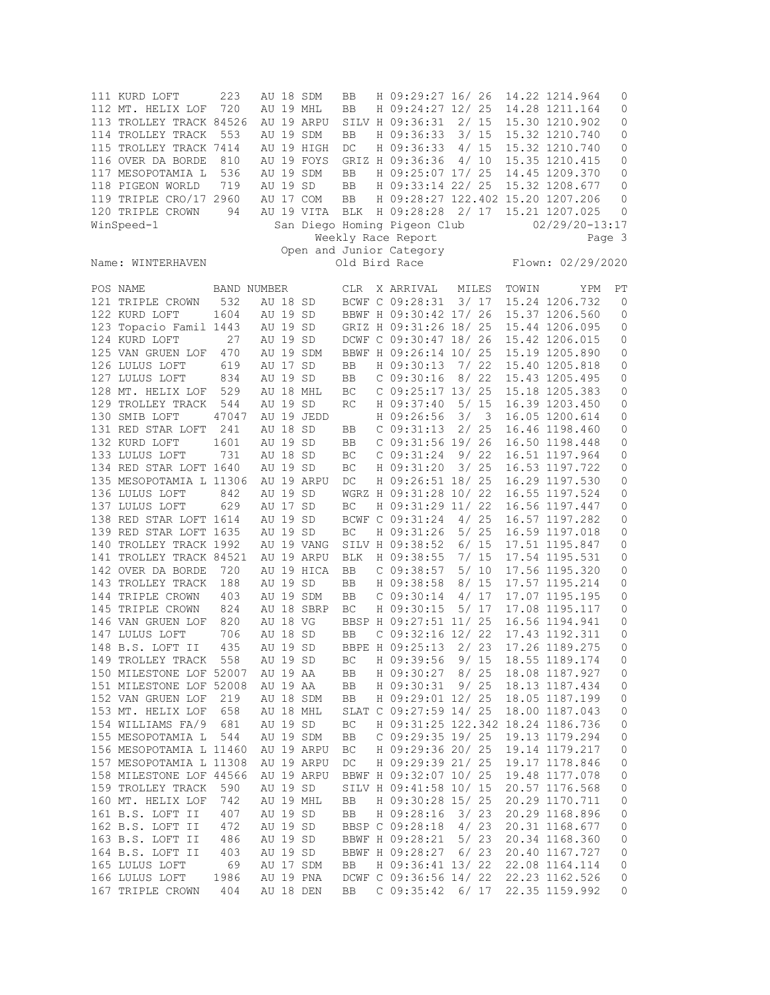| 111 KURD LOFT<br>112 MT. HELIX LOF<br>113 TROLLEY TRACK 84526<br>114 TROLLEY TRACK<br>115 TROLLEY TRACK 7414<br>116 OVER DA BORDE<br>117 MESOPOTAMIA L<br>118 PIGEON WORLD<br>119 TRIPLE CRO/17 2960<br>120 TRIPLE CROWN<br>WinSpeed-1                                                                                                              | 223<br>720<br>553<br>810<br>536<br>719<br>94                                                              | AU 19 MHL<br>AU 19 SD                                                                                                                                                  | AU 18 SDM<br>AU 19 ARPU<br>AU 19 SDM<br>AU 19 HIGH<br>AU 19 FOYS<br>AU 19 SDM<br>AU 17 COM<br>AU 19 VITA | BB<br>BB<br>BB<br>DC<br>BB<br>BB<br>BB<br>BLK                          | H 09:29:27 16/ 26<br>H 09:24:27 12/ 25<br>SILV H 09:36:31 2/ 15<br>GRIZ H 09:36:36<br>H 09:25:07 17/ 25<br>H 09:33:14 22/ 25<br>H 09:28:28 2/ 17<br>San Diego Homing Pigeon Club<br>Weekly Race Report<br>Open and Junior Category                                                                                       |                                        | 4/10                                           | 14.22 1214.964<br>14.28 1211.164<br>15.30 1210.902<br>H 09:36:33 3/ 15 15.32 1210.740<br>H 09:36:33 4/ 15 15.32 1210.740<br>15.35 1210.415<br>14.45 1209.370<br>15.32 1208.677<br>H 09:28:27 122.402 15.20 1207.206<br>15.21 1207.025<br>$02/29/20 - 13:17$                                                                                                | 0<br>0<br>$\mathbf 0$<br>0<br>$\mathbf 0$<br>0<br>0<br>$\mathbf 0$<br>0<br>0<br>Page 3                 |
|-----------------------------------------------------------------------------------------------------------------------------------------------------------------------------------------------------------------------------------------------------------------------------------------------------------------------------------------------------|-----------------------------------------------------------------------------------------------------------|------------------------------------------------------------------------------------------------------------------------------------------------------------------------|----------------------------------------------------------------------------------------------------------|------------------------------------------------------------------------|--------------------------------------------------------------------------------------------------------------------------------------------------------------------------------------------------------------------------------------------------------------------------------------------------------------------------|----------------------------------------|------------------------------------------------|------------------------------------------------------------------------------------------------------------------------------------------------------------------------------------------------------------------------------------------------------------------------------------------------------------------------------------------------------------|--------------------------------------------------------------------------------------------------------|
| Name: WINTERHAVEN                                                                                                                                                                                                                                                                                                                                   |                                                                                                           |                                                                                                                                                                        |                                                                                                          |                                                                        | Old Bird Race                                                                                                                                                                                                                                                                                                            |                                        |                                                | Flown: 02/29/2020                                                                                                                                                                                                                                                                                                                                          |                                                                                                        |
| POS NAME<br>121 TRIPLE CROWN<br>122 KURD LOFT<br>123 Topacio Famil 1443<br>124 KURD LOFT<br>125 VAN GRUEN LOF<br>126 LULUS LOFT<br>127 LULUS LOFT<br>128 MT. HELIX LOF<br>129 TROLLEY TRACK<br>130 SMIB LOFT<br>131 RED STAR LOFT<br>132 KURD LOFT<br>133 LULUS LOFT<br>134 RED STAR LOFT 1640<br>135 MESOPOTAMIA L 11306<br>136 LULUS LOFT         | BAND NUMBER<br>532<br>1604<br>27<br>470<br>619<br>834<br>529<br>544<br>47047<br>241<br>1601<br>731<br>842 | AU 18 SD<br>AU 19 SD<br>AU 19 SD<br>AU 19 SD<br>AU 19 SDM<br>AU 17 SD<br>AU 19 SD<br>AU 18 MHL<br>AU 19 SD<br>AU 18 SD<br>AU 19 SD<br>AU 18 SD<br>AU 19 SD<br>AU 19 SD | AU 19 JEDD<br>AU 19 ARPU                                                                                 | <b>CLR</b><br>BB<br>BB<br>ВC<br>RC<br>BB<br>BB<br>ВC<br>BC<br>DC       | X ARRIVAL<br>BCWF C 09:28:31<br>DCWF C 09:30:47 18/ 26<br>BBWF H 09:26:14 10/ 25<br>H 09:30:13<br>C 09:30:16<br>$C$ 09:25:17 13/ 25<br>H 09:37:40<br>H 09:26:56<br>C 09:31:13<br>$C$ 09:31:56 19/ 26<br>C 09:31:24<br>H 09:31:20<br>H 09:26:51 18/ 25<br>WGRZ H 09:31:28 10/ 22                                          | MILES<br>8/22<br>5/ 15<br>3/3          | 3/17<br>7/22<br>2/25<br>9/22<br>3/25           | TOWIN<br>YPM<br>15.24 1206.732<br>BBWF H 09:30:42 17/ 26 15.37 1206.560<br>GRIZ H 09:31:26 18/ 25 15.44 1206.095<br>15.42 1206.015<br>15.19 1205.890<br>15.40 1205.818<br>15.43 1205.495<br>15.18 1205.383<br>16.39 1203.450<br>16.05 1200.614<br>16.46 1198.460<br>16.50 1198.448<br>16.51 1197.964<br>16.53 1197.722<br>16.29 1197.530<br>16.55 1197.524 | PТ<br>0<br>$\mathbf 0$<br>0<br>0<br>0<br>0<br>0<br>0<br>$\mathbf 0$<br>0<br>0<br>0<br>0<br>0<br>0<br>0 |
| 137 LULUS LOFT<br>138 RED STAR LOFT 1614<br>139 RED STAR LOFT 1635<br>140 TROLLEY TRACK 1992<br>141 TROLLEY TRACK 84521<br>142 OVER DA BORDE<br>143 TROLLEY TRACK<br>144 TRIPLE CROWN<br>145 TRIPLE CROWN<br>146 VAN GRUEN LOF<br>147 LULUS LOFT<br>148 B.S. LOFT II<br>149 TROLLEY TRACK<br>150 MILESTONE LOF 52007<br>151 MILESTONE LOF 52008     | 629<br>720<br>188<br>403<br>824<br>820<br>706<br>435<br>558                                               | AU 17 SD<br>AU 19 SD<br>AU 19 SD<br>AU 19 SD<br>AU 18 VG<br>AU 18 SD<br>AU 19 SD<br>AU 19 SD<br>AU 19 AA<br>AU 19 AA                                                   | AU 19 VANG<br>AU 19 ARPU<br>AU 19 HICA<br>AU 19 SDM<br>AU 18 SBRP                                        | BC<br>BC<br><b>BLK</b><br>BB<br>BB<br>BB<br>ВC<br>BB<br>ВC<br>BB<br>BB | H 09:31:29 11/ 22<br>BCWF C 09:31:24 4/ 25<br>H 09:31:26<br>SILV H 09:38:52<br>H 09:38:55<br>$C$ 09:38:57<br>H 09:38:58<br>C 09:30:14<br>H 09:30:15<br>BBSP H 09:27:51 11/ 25<br>$C$ 09:32:16 12/ 22<br>BBPE H 09:25:13<br>H 09:39:56<br>H 09:30:27<br>H 09:30:31                                                        | 5/ 25<br>6/ 15<br>7/15<br>5/10<br>8/25 | 8/ 15<br>4/ 17<br>5/17<br>2/23<br>9/15<br>9/25 | 16.56 1197.447<br>16.57 1197.282<br>16.59 1197.018<br>17.51 1195.847<br>17.54 1195.531<br>17.56 1195.320<br>17.57 1195.214<br>17.07 1195.195<br>17.08 1195.117<br>16.56 1194.941<br>17.43 1192.311<br>17.26 1189.275<br>18.55 1189.174<br>18.08 1187.927<br>18.13 1187.434                                                                                 | 0<br>0<br>0<br>0<br>0<br>0<br>0<br>0<br>0<br>0<br>0<br>$\Omega$<br>0<br>0<br>0                         |
| 152 VAN GRUEN LOF<br>153 MT. HELIX LOF<br>154 WILLIAMS FA/9<br>155 MESOPOTAMIA L<br>156 MESOPOTAMIA L 11460<br>157 MESOPOTAMIA L 11308<br>158 MILESTONE LOF 44566<br>159 TROLLEY TRACK<br>160 MT. HELIX LOF<br>161 B.S. LOFT II<br>162 B.S. LOFT II<br>163 B.S. LOFT II<br>164 B.S. LOFT II<br>165 LULUS LOFT<br>166 LULUS LOFT<br>167 TRIPLE CROWN | 219<br>658<br>681<br>544<br>590<br>742<br>407<br>472<br>486<br>403<br>69<br>1986<br>404                   | AU 18 SDM<br>AU 18 MHL<br>AU 19 SD<br>AU 19 SDM<br>AU 19 SD<br>AU 19 SD<br>AU 19 SD<br>AU 19 SD<br>AU 19 SD<br>AU 17 SDM<br>AU 19 PNA<br>AU 18 DEN                     | AU 19 ARPU<br>AU 19 ARPU<br>AU 19 ARPU<br>AU 19 MHL                                                      | BB<br>ВC<br>BB<br>ВC<br>DC<br>BB<br>BB<br>BB<br>BB                     | H 09:29:01 12/ 25<br>SLAT C 09:27:59 14/ 25<br>$C$ 09:29:35 19/25<br>H 09:29:36 20/ 25<br>H 09:29:39 21/ 25<br>BBWF H 09:32:07 10/ 25<br>SILV H 09:41:58 10/ 15<br>H 09:30:28 15/ 25<br>H 09:28:16<br>BBSP C 09:28:18<br>BBWF H 09:28:21<br>BBWF H 09:28:27<br>H 09:36:41 13/ 22<br>DCWF C 09:36:56 14/ 22<br>C 09:35:42 |                                        | 3/23<br>4/23<br>5/23<br>6/23<br>6/17           | 18.05 1187.199<br>18.00 1187.043<br>H 09:31:25 122.342 18.24 1186.736<br>19.13 1179.294<br>19.14 1179.217<br>19.17 1178.846<br>19.48 1177.078<br>20.57 1176.568<br>20.29 1170.711<br>20.29 1168.896<br>20.31 1168.677<br>20.34 1168.360<br>20.40 1167.727<br>22.08 1164.114<br>22.23 1162.526<br>22.35 1159.992                                            | 0<br>0<br>0<br>0<br>0<br>0<br>0<br>0<br>0<br>0<br>0<br>0<br>0<br>0<br>0<br>0                           |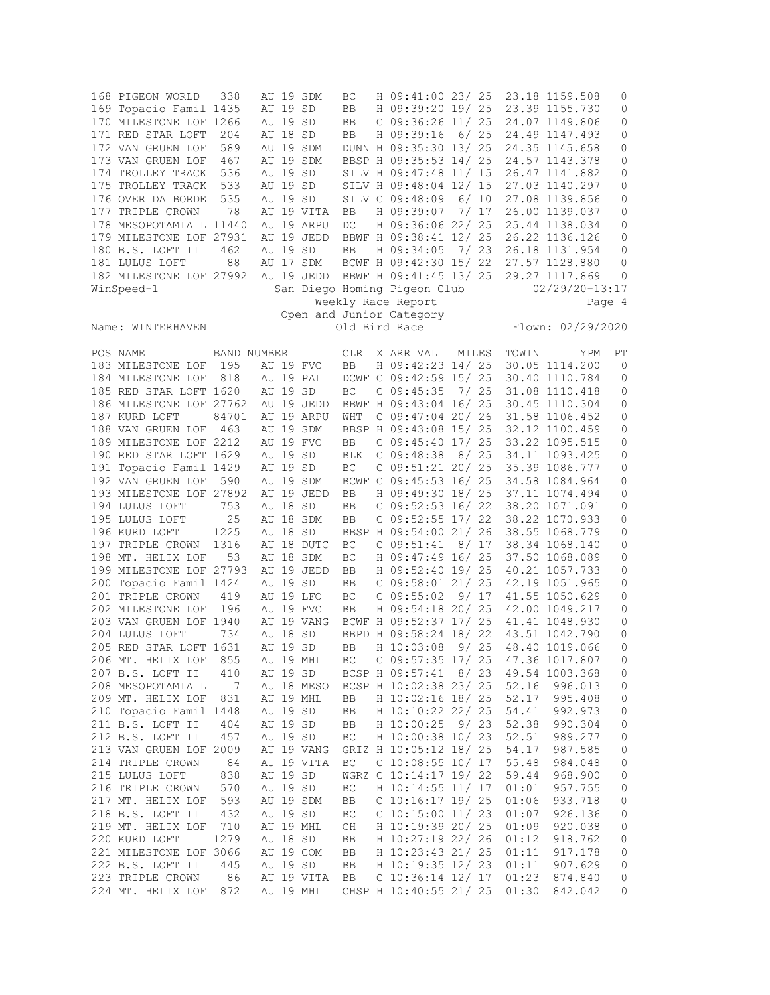| 168 PIGEON WORLD<br>169 Topacio Famil 1435<br>170 MILESTONE LOF 1266<br>171 RED STAR LOFT | 338<br>204         | AU 19 SD<br>AU 19 SD<br>AU 18 SD | AU 19 SDM                | BC<br>BB<br>BB<br>BB | H 09:41:00 23/ 25<br>H 09:39:20 19/ 25<br>$C$ 09:36:26 11/ 25<br>H 09:39:16 | 6/25         |                | 23.18 1159.508<br>23.39 1155.730<br>24.07 1149.806<br>24.49 1147.493 | 0<br>0<br>0<br>$\mathbf 0$ |
|-------------------------------------------------------------------------------------------|--------------------|----------------------------------|--------------------------|----------------------|-----------------------------------------------------------------------------|--------------|----------------|----------------------------------------------------------------------|----------------------------|
| 172 VAN GRUEN LOF<br>173 VAN GRUEN LOF                                                    | 589<br>467         |                                  | AU 19 SDM<br>AU 19 SDM   |                      | DUNN H 09:35:30 13/ 25<br>BBSP H 09:35:53 14/ 25                            |              |                | 24.35 1145.658<br>24.57 1143.378                                     | 0<br>0                     |
| 174 TROLLEY TRACK<br>175 TROLLEY TRACK                                                    | 536<br>533         | AU 19 SD<br>AU 19 SD             |                          |                      | SILV H 09:47:48 11/ 15<br>SILV H 09:48:04 12/ 15                            |              |                | 26.47 1141.882<br>27.03 1140.297                                     | 0<br>0                     |
| 176 OVER DA BORDE<br>177 TRIPLE CROWN                                                     | 535<br>78          | AU 19 SD                         | AU 19 VITA               | BB                   | SILV C 09:48:09<br>H 09:39:07                                               | 6/10<br>7/17 |                | 27.08 1139.856<br>26.00 1139.037                                     | 0<br>0                     |
| 178 MESOPOTAMIA L 11440<br>179 MILESTONE LOF 27931                                        |                    |                                  | AU 19 ARPU<br>AU 19 JEDD | DC                   | H 09:36:06 22/ 25<br>BBWF H 09:38:41 12/ 25                                 |              |                | 25.44 1138.034<br>26.22 1136.126                                     | 0<br>0                     |
| 180 B.S. LOFT II                                                                          | 462                | AU 19 SD                         |                          | BB                   | H 09:34:05                                                                  | 7/23         |                | 26.18 1131.954                                                       | 0                          |
| 181 LULUS LOFT                                                                            | 88                 |                                  | AU 17 SDM                |                      | BCWF H 09:42:30 15/ 22                                                      |              |                | 27.57 1128.880                                                       | 0                          |
| 182 MILESTONE LOF 27992<br>WinSpeed-1                                                     |                    |                                  | AU 19 JEDD               |                      | BBWF H 09:41:45 13/ 25<br>San Diego Homing Pigeon Club                      |              |                | 29.27 1117.869<br>$02/29/20 - 13:17$                                 | 0                          |
|                                                                                           |                    |                                  |                          |                      | Weekly Race Report                                                          |              |                |                                                                      | Page 4                     |
|                                                                                           |                    |                                  |                          |                      | Open and Junior Category<br>Old Bird Race                                   |              |                | Flown: 02/29/2020                                                    |                            |
| Name: WINTERHAVEN                                                                         |                    |                                  |                          |                      |                                                                             |              |                |                                                                      |                            |
| POS NAME<br>183 MILESTONE LOF                                                             | BAND NUMBER<br>195 |                                  | AU 19 FVC                | <b>CLR</b><br>BB     | X ARRIVAL<br>H 09:42:23 14/ 25                                              | MILES        | TOWIN          | YPM<br>30.05 1114.200                                                | РT<br>0                    |
| 184 MILESTONE LOF                                                                         | 818                |                                  | AU 19 PAL                |                      | DCWF C 09:42:59 15/ 25                                                      |              |                | 30.40 1110.784                                                       | 0                          |
| 185 RED STAR LOFT 1620                                                                    |                    | AU 19 SD                         |                          | BC                   | $C$ 09:45:35                                                                | 7/25         |                | 31.08 1110.418                                                       | 0                          |
| 186 MILESTONE LOF 27762                                                                   |                    |                                  | AU 19 JEDD               |                      | BBWF H 09:43:04 16/ 25                                                      |              |                | 30.45 1110.304                                                       | 0                          |
| 187 KURD LOFT                                                                             | 84701              |                                  | AU 19 ARPU               | WHT                  | $C$ 09:47:04 20/ 26                                                         |              |                | 31.58 1106.452                                                       | 0                          |
| 188 VAN GRUEN LOF                                                                         | 463                |                                  | AU 19 SDM                |                      | BBSP H 09:43:08 15/ 25                                                      |              |                | 32.12 1100.459                                                       | 0                          |
| 189 MILESTONE LOF 2212<br>190 RED STAR LOFT 1629                                          |                    | AU 19 SD                         | AU 19 FVC                | BB<br><b>BLK</b>     | $C$ 09:45:40 17/ 25<br>$C$ 09:48:38                                         | 8/25         |                | 33.22 1095.515<br>34.11 1093.425                                     | 0<br>0                     |
| 191 Topacio Famil 1429                                                                    |                    | AU 19 SD                         |                          | ВC                   | C 09:51:21 20/ 25                                                           |              |                | 35.39 1086.777                                                       | 0                          |
| 192 VAN GRUEN LOF                                                                         | 590                |                                  | AU 19 SDM                |                      | BCWF C 09:45:53 16/ 25                                                      |              |                | 34.58 1084.964                                                       | 0                          |
| 193 MILESTONE LOF 27892                                                                   |                    |                                  | AU 19 JEDD               | BB                   | H 09:49:30 18/ 25                                                           |              |                | 37.11 1074.494                                                       | 0                          |
| 194 LULUS LOFT                                                                            | 753                | AU 18 SD                         |                          | BB                   | $C$ 09:52:53 16/22                                                          |              |                | 38.20 1071.091                                                       | 0                          |
| 195 LULUS LOFT                                                                            | 25                 |                                  | AU 18 SDM                | BB                   | $C$ 09:52:55 17/ 22                                                         |              |                | 38.22 1070.933                                                       | 0                          |
| 196 KURD LOFT                                                                             | 1225               | AU 18 SD                         |                          |                      | BBSP H 09:54:00 21/ 26                                                      |              |                | 38.55 1068.779                                                       | 0                          |
| 197 TRIPLE CROWN<br>198 MT. HELIX LOF                                                     | 1316<br>53         |                                  | AU 18 DUTC<br>AU 18 SDM  | BC<br>BC             | C 09:51:41<br>H 09:47:49 16/ 25                                             | 8/17         |                | 38.34 1068.140<br>37.50 1068.089                                     | 0<br>0                     |
| 199 MILESTONE LOF 27793                                                                   |                    |                                  | AU 19 JEDD               | BB                   | H 09:52:40 19/ 25                                                           |              |                | 40.21 1057.733                                                       | 0                          |
| 200 Topacio Famil 1424                                                                    |                    | AU 19 SD                         |                          | BB                   | C 09:58:01 21/ 25                                                           |              |                | 42.19 1051.965                                                       | 0                          |
| 201 TRIPLE CROWN                                                                          | 419                |                                  | AU 19 LFO                | BC                   | C 09:55:02                                                                  | 9/17         |                | 41.55 1050.629                                                       | 0                          |
| 202 MILESTONE LOF                                                                         | 196                |                                  | AU 19 FVC                | BB                   | H 09:54:18 20/ 25                                                           |              |                | 42.00 1049.217                                                       | 0                          |
| 203 VAN GRUEN LOF 1940                                                                    |                    |                                  | AU 19 VANG               |                      | BCWF H 09:52:37 17/ 25                                                      |              |                | 41.41 1048.930                                                       | 0                          |
| 204 LULUS LOFT                                                                            | 734                | AU 18 SD                         |                          |                      | BBPD H 09:58:24 18/ 22                                                      |              |                | 43.51 1042.790                                                       | 0                          |
| 205 RED STAR LOFT 1631                                                                    |                    | AU 19 SD                         |                          | <b>BB</b>            | H 10:03:08                                                                  | 9/25         |                | 48.40 1019.066                                                       | 0                          |
| 206 MT. HELIX LOF<br>207 B.S. LOFT II                                                     | 855<br>410         | AU 19 SD                         | AU 19 MHL                | ВC                   | C 09:57:35 17/ 25<br>BCSP H 09:57:41 8/23                                   |              |                | 47.36 1017.807<br>49.54 1003.368                                     | 0<br>0                     |
| 208 MESOPOTAMIA L                                                                         | $\overline{7}$     |                                  | AU 18 MESO               |                      | BCSP H 10:02:38 23/ 25                                                      |              | 52.16          | 996.013                                                              | 0                          |
| 209 MT. HELIX LOF                                                                         | 831                |                                  | AU 19 MHL                | BB                   | H 10:02:16 18/ 25                                                           |              | 52.17          | 995.408                                                              | 0                          |
| 210 Topacio Famil 1448                                                                    |                    | AU 19 SD                         |                          | BB                   | H 10:10:22 22/ 25                                                           |              | 54.41          | 992.973                                                              | 0                          |
| 211 B.S. LOFT II                                                                          | 404                | AU 19 SD                         |                          | BB                   | H 10:00:25                                                                  | 9/23         | 52.38          | 990.304                                                              | 0                          |
| 212 B.S. LOFT II                                                                          | 457                | AU 19 SD                         |                          | $\operatorname{BC}$  | H 10:00:38 10/ 23                                                           |              | 52.51          | 989.277                                                              | $\mathbb O$                |
| 213 VAN GRUEN LOF 2009                                                                    |                    |                                  | AU 19 VANG               |                      | GRIZ H 10:05:12 18/ 25                                                      |              | 54.17          | 987.585                                                              | 0                          |
| 214 TRIPLE CROWN<br>215 LULUS LOFT                                                        | 84<br>838          | AU 19 SD                         | AU 19 VITA               | BC                   | $C$ 10:08:55 10/ 17<br>WGRZ C 10:14:17 19/ 22                               |              | 55.48<br>59.44 | 984.048<br>968.900                                                   | 0<br>$\mathbb O$           |
| 216 TRIPLE CROWN                                                                          | 570                | AU 19 SD                         |                          | ВC                   | H 10:14:55 11/ 17                                                           |              | 01:01          | 957.755                                                              | 0                          |
| 217 MT. HELIX LOF                                                                         | 593                |                                  | AU 19 SDM                | BB                   | C 10:16:17 19/ 25                                                           |              | 01:06          | 933.718                                                              | 0                          |
| 218 B.S. LOFT II                                                                          | 432                | AU 19 SD                         |                          | ВC                   | C 10:15:00 11/ 23                                                           |              | 01:07          | 926.136                                                              | 0                          |
| 219 MT. HELIX LOF                                                                         | 710                |                                  | AU 19 MHL                | СH                   | H 10:19:39 20/ 25                                                           |              | 01:09          | 920.038                                                              | 0                          |
| 220 KURD LOFT                                                                             | 1279               | AU 18 SD                         |                          | BB                   | H 10:27:19 22/ 26                                                           |              | 01:12          | 918.762                                                              | 0                          |
| 221 MILESTONE LOF 3066                                                                    |                    |                                  | AU 19 COM                | BB                   | H 10:23:43 21/ 25                                                           |              | 01:11          | 917.178                                                              | 0                          |
| 222 B.S. LOFT II                                                                          | 445                | AU 19 SD                         |                          | BB                   | H 10:19:35 12/ 23                                                           |              | 01:11          | 907.629                                                              | 0                          |
| 223 TRIPLE CROWN                                                                          | 86                 |                                  | AU 19 VITA               | BB                   | C 10:36:14 12/ 17                                                           |              | 01:23          | 874.840                                                              | 0                          |
| 224 MT. HELIX LOF                                                                         | 872                |                                  | AU 19 MHL                |                      | CHSP H 10:40:55 21/ 25                                                      |              | 01:30          | 842.042                                                              | 0                          |